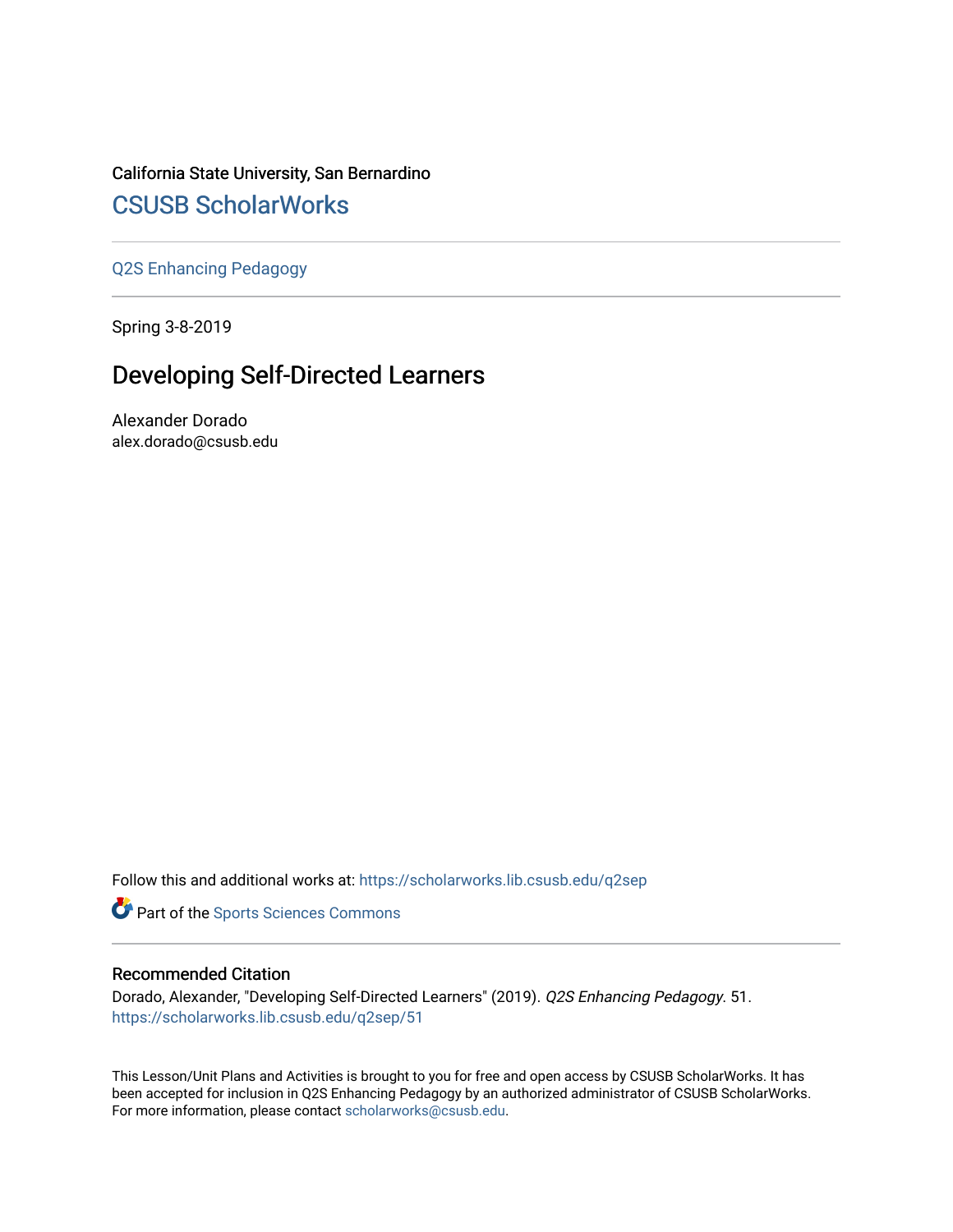## California State University, San Bernardino [CSUSB ScholarWorks](https://scholarworks.lib.csusb.edu/)

[Q2S Enhancing Pedagogy](https://scholarworks.lib.csusb.edu/q2sep) 

Spring 3-8-2019

# Developing Self-Directed Learners

Alexander Dorado alex.dorado@csusb.edu

Follow this and additional works at: [https://scholarworks.lib.csusb.edu/q2sep](https://scholarworks.lib.csusb.edu/q2sep?utm_source=scholarworks.lib.csusb.edu%2Fq2sep%2F51&utm_medium=PDF&utm_campaign=PDFCoverPages) 

**Part of the Sports Sciences Commons** 

#### Recommended Citation

Dorado, Alexander, "Developing Self-Directed Learners" (2019). Q2S Enhancing Pedagogy. 51. [https://scholarworks.lib.csusb.edu/q2sep/51](https://scholarworks.lib.csusb.edu/q2sep/51?utm_source=scholarworks.lib.csusb.edu%2Fq2sep%2F51&utm_medium=PDF&utm_campaign=PDFCoverPages)

This Lesson/Unit Plans and Activities is brought to you for free and open access by CSUSB ScholarWorks. It has been accepted for inclusion in Q2S Enhancing Pedagogy by an authorized administrator of CSUSB ScholarWorks. For more information, please contact [scholarworks@csusb.edu.](mailto:scholarworks@csusb.edu)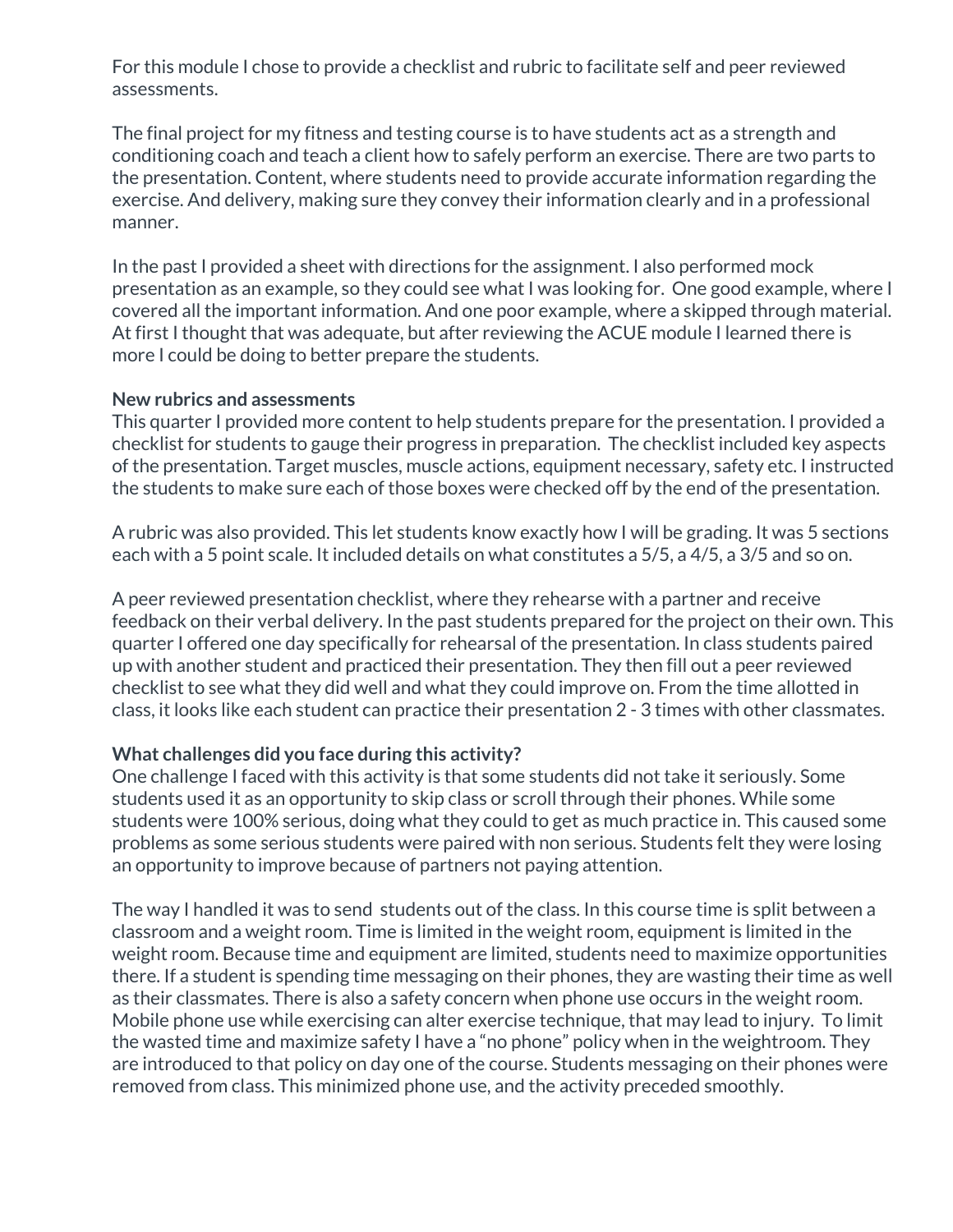For this module I chose to provide a checklist and rubric to facilitate self and peer reviewed assessments.

The final project for my fitness and testing course is to have students act as a strength and conditioning coach and teach a client how to safely perform an exercise. There are two parts to the presentation. Content, where students need to provide accurate information regarding the exercise. And delivery, making sure they convey their information clearly and in a professional manner.

In the past I provided a sheet with directions for the assignment. I also performed mock presentation as an example, so they could see what I was looking for. One good example, where I covered all the important information. And one poor example, where a skipped through material. At first I thought that was adequate, but after reviewing the ACUE module I learned there is more I could be doing to better prepare the students.

#### **New rubrics and assessments**

This quarter I provided more content to help students prepare for the presentation. I provided a checklist for students to gauge their progress in preparation. The checklist included key aspects of the presentation. Target muscles, muscle actions, equipment necessary, safety etc. I instructed the students to make sure each of those boxes were checked off by the end of the presentation.

A rubric was also provided. This let students know exactly how I will be grading. It was 5 sections each with a 5 point scale. It included details on what constitutes a 5/5, a 4/5, a 3/5 and so on.

A peer reviewed presentation checklist, where they rehearse with a partner and receive feedback on their verbal delivery. In the past students prepared for the project on their own. This quarter I offered one day specifically for rehearsal of the presentation. In class students paired up with another student and practiced their presentation. They then fill out a peer reviewed checklist to see what they did well and what they could improve on. From the time allotted in class, it looks like each student can practice their presentation 2 - 3 times with other classmates.

### **What challenges did you face during this activity?**

One challenge I faced with this activity is that some students did not take it seriously. Some students used it as an opportunity to skip class or scroll through their phones. While some students were 100% serious, doing what they could to get as much practice in. This caused some problems as some serious students were paired with non serious. Students felt they were losing an opportunity to improve because of partners not paying attention.

The way I handled it was to send students out of the class. In this course time is split between a classroom and a weight room. Time is limited in the weight room, equipment is limited in the weight room. Because time and equipment are limited, students need to maximize opportunities there. If a student is spending time messaging on their phones, they are wasting their time as well as their classmates. There is also a safety concern when phone use occurs in the weight room. Mobile phone use while exercising can alter exercise technique, that may lead to injury. To limit the wasted time and maximize safety I have a "no phone" policy when in the weightroom. They are introduced to that policy on day one of the course. Students messaging on their phones were removed from class. This minimized phone use, and the activity preceded smoothly.